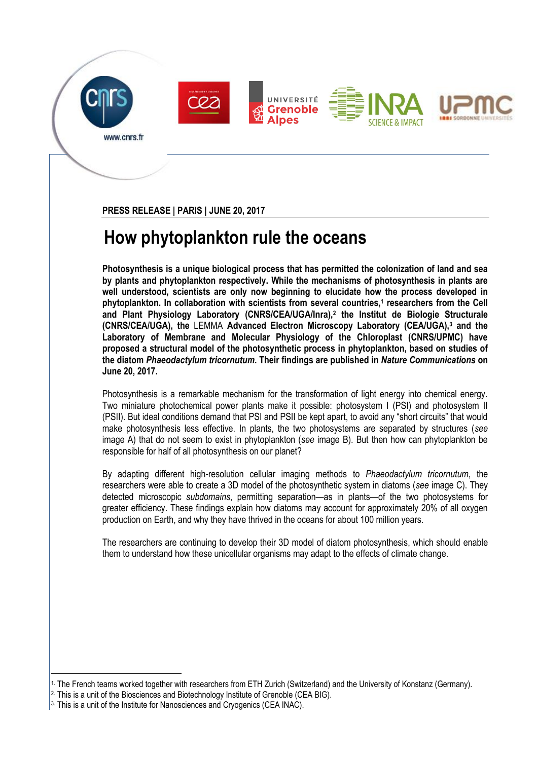









**PRESS RELEASE | PARIS | JUNE 20, 2017** 

## **How phytoplankton rule the oceans**

**Photosynthesis is a unique biological process that has permitted the colonization of land and sea by plants and phytoplankton respectively. While the mechanisms of photosynthesis in plants are well understood, scientists are only now beginning to elucidate how the process developed in phytoplankton. In collaboration with scientists from several countries,<sup>1</sup> researchers from the Cell and Plant Physiology Laboratory (CNRS/CEA/UGA/Inra),<sup>2</sup> the Institut de Biologie Structurale (CNRS/CEA/UGA), the** LEMMA **Advanced Electron Microscopy Laboratory (CEA/UGA),<sup>3</sup> and the Laboratory of Membrane and Molecular Physiology of the Chloroplast (CNRS/UPMC) have proposed a structural model of the photosynthetic process in phytoplankton, based on studies of the diatom** *Phaeodactylum tricornutum***. Their findings are published in** *Nature Communications* **on June 20, 2017.**

Photosynthesis is a remarkable mechanism for the transformation of light energy into chemical energy. Two miniature photochemical power plants make it possible: photosystem I (PSI) and photosystem II (PSII). But ideal conditions demand that PSI and PSII be kept apart, to avoid any "short circuits" that would make photosynthesis less effective. In plants, the two photosystems are separated by structures (*see* image A) that do not seem to exist in phytoplankton (*see* image B). But then how can phytoplankton be responsible for half of all photosynthesis on our planet?

By adapting different high-resolution cellular imaging methods to *Phaeodactylum tricornutum*, the researchers were able to create a 3D model of the photosynthetic system in diatoms (*see* image C). They detected microscopic *subdomains*, permitting separation—as in plants—of the two photosystems for greater efficiency. These findings explain how diatoms may account for approximately 20% of all oxygen production on Earth, and why they have thrived in the oceans for about 100 million years.

The researchers are continuing to develop their 3D model of diatom photosynthesis, which should enable them to understand how these unicellular organisms may adapt to the effects of climate change.

<u>.</u>

<sup>1.</sup> The French teams worked together with researchers from ETH Zurich (Switzerland) and the University of Konstanz (Germany).

<sup>2.</sup> This is a unit of the Biosciences and Biotechnology Institute of Grenoble (CEA BIG).

 $3.$  This is a unit of the Institute for Nanosciences and Cryogenics (CEA INAC).